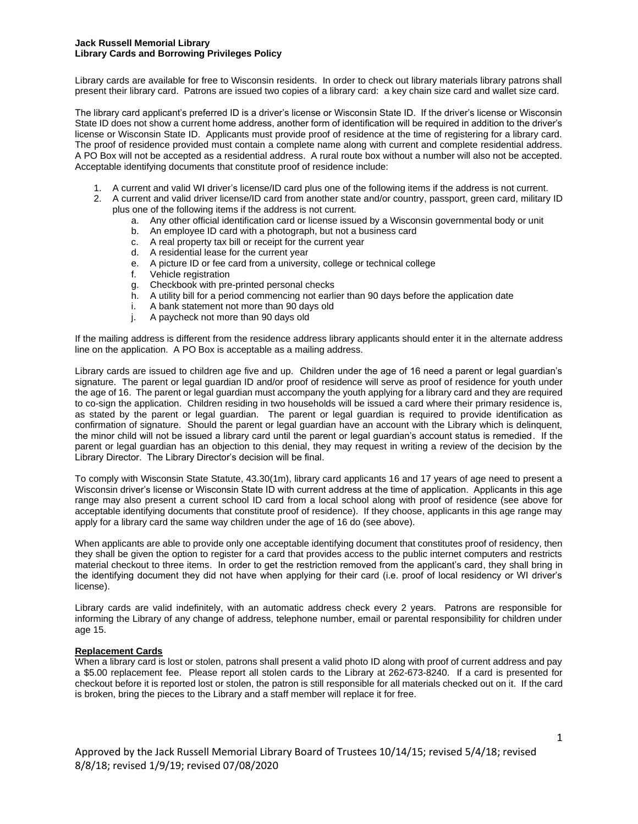### **Jack Russell Memorial Library Library Cards and Borrowing Privileges Policy**

Library cards are available for free to Wisconsin residents. In order to check out library materials library patrons shall present their library card. Patrons are issued two copies of a library card: a key chain size card and wallet size card.

The library card applicant's preferred ID is a driver's license or Wisconsin State ID. If the driver's license or Wisconsin State ID does not show a current home address, another form of identification will be required in addition to the driver's license or Wisconsin State ID. Applicants must provide proof of residence at the time of registering for a library card. The proof of residence provided must contain a complete name along with current and complete residential address. A PO Box will not be accepted as a residential address. A rural route box without a number will also not be accepted. Acceptable identifying documents that constitute proof of residence include:

- 1. A current and valid WI driver's license/ID card plus one of the following items if the address is not current.
- 2. A current and valid driver license/ID card from another state and/or country, passport, green card, military ID plus one of the following items if the address is not current.
	- a. Any other official identification card or license issued by a Wisconsin governmental body or unit
	- b. An employee ID card with a photograph, but not a business card
	- c. A real property tax bill or receipt for the current year
	- d. A residential lease for the current year
	- e. A picture ID or fee card from a university, college or technical college
	- f. Vehicle registration
	- g. Checkbook with pre-printed personal checks
	- h. A utility bill for a period commencing not earlier than 90 days before the application date
	- i. A bank statement not more than 90 days old
	- j. A paycheck not more than 90 days old

If the mailing address is different from the residence address library applicants should enter it in the alternate address line on the application. A PO Box is acceptable as a mailing address.

Library cards are issued to children age five and up. Children under the age of 16 need a parent or legal guardian's signature. The parent or legal guardian ID and/or proof of residence will serve as proof of residence for youth under the age of 16. The parent or legal guardian must accompany the youth applying for a library card and they are required to co-sign the application. Children residing in two households will be issued a card where their primary residence is, as stated by the parent or legal guardian. The parent or legal guardian is required to provide identification as confirmation of signature. Should the parent or legal guardian have an account with the Library which is delinquent, the minor child will not be issued a library card until the parent or legal guardian's account status is remedied. If the parent or legal guardian has an objection to this denial, they may request in writing a review of the decision by the Library Director. The Library Director's decision will be final.

To comply with Wisconsin State Statute, 43.30(1m), library card applicants 16 and 17 years of age need to present a Wisconsin driver's license or Wisconsin State ID with current address at the time of application. Applicants in this age range may also present a current school ID card from a local school along with proof of residence (see above for acceptable identifying documents that constitute proof of residence). If they choose, applicants in this age range may apply for a library card the same way children under the age of 16 do (see above).

When applicants are able to provide only one acceptable identifying document that constitutes proof of residency, then they shall be given the option to register for a card that provides access to the public internet computers and restricts material checkout to three items. In order to get the restriction removed from the applicant's card, they shall bring in the identifying document they did not have when applying for their card (i.e. proof of local residency or WI driver's license).

Library cards are valid indefinitely, with an automatic address check every 2 years. Patrons are responsible for informing the Library of any change of address, telephone number, email or parental responsibility for children under age 15.

# **Replacement Cards**

When a library card is lost or stolen, patrons shall present a valid photo ID along with proof of current address and pay a \$5.00 replacement fee. Please report all stolen cards to the Library at 262-673-8240. If a card is presented for checkout before it is reported lost or stolen, the patron is still responsible for all materials checked out on it. If the card is broken, bring the pieces to the Library and a staff member will replace it for free.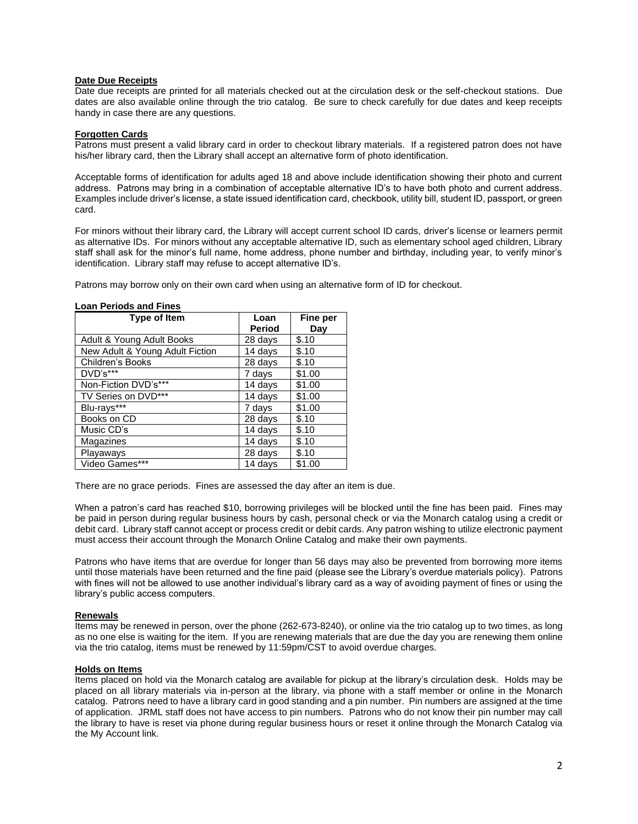## **Date Due Receipts**

Date due receipts are printed for all materials checked out at the circulation desk or the self-checkout stations. Due dates are also available online through the trio catalog. Be sure to check carefully for due dates and keep receipts handy in case there are any questions.

## **Forgotten Cards**

Patrons must present a valid library card in order to checkout library materials. If a registered patron does not have his/her library card, then the Library shall accept an alternative form of photo identification.

Acceptable forms of identification for adults aged 18 and above include identification showing their photo and current address. Patrons may bring in a combination of acceptable alternative ID's to have both photo and current address. Examples include driver's license, a state issued identification card, checkbook, utility bill, student ID, passport, or green card.

For minors without their library card, the Library will accept current school ID cards, driver's license or learners permit as alternative IDs. For minors without any acceptable alternative ID, such as elementary school aged children, Library staff shall ask for the minor's full name, home address, phone number and birthday, including year, to verify minor's identification. Library staff may refuse to accept alternative ID's.

Patrons may borrow only on their own card when using an alternative form of ID for checkout.

| <b>Type of Item</b>             | Loan<br><b>Period</b> | Fine per<br>Day |
|---------------------------------|-----------------------|-----------------|
| Adult & Young Adult Books       | 28 days               | \$.10           |
| New Adult & Young Adult Fiction | 14 days               | \$.10           |
| Children's Books                | 28 days               | \$.10           |
| DVD's***                        | 7 days                | \$1.00          |
| Non-Fiction DVD's***            | 14 days               | \$1.00          |
| TV Series on DVD***             | 14 days               | \$1.00          |
| Blu-rays***                     | 7 days                | \$1.00          |
| Books on CD                     | 28 days               | \$.10           |
| Music CD's                      | 14 days               | \$.10           |
| Magazines                       | 14 days               | \$.10           |
| Playaways                       | 28 days               | \$.10           |
| Video Games***                  | 14 days               | \$1.00          |

## **Loan Periods and Fines**

There are no grace periods. Fines are assessed the day after an item is due.

When a patron's card has reached \$10, borrowing privileges will be blocked until the fine has been paid. Fines may be paid in person during regular business hours by cash, personal check or via the Monarch catalog using a credit or debit card. Library staff cannot accept or process credit or debit cards. Any patron wishing to utilize electronic payment must access their account through the Monarch Online Catalog and make their own payments.

Patrons who have items that are overdue for longer than 56 days may also be prevented from borrowing more items until those materials have been returned and the fine paid (please see the Library's overdue materials policy). Patrons with fines will not be allowed to use another individual's library card as a way of avoiding payment of fines or using the library's public access computers.

#### **Renewals**

Items may be renewed in person, over the phone (262-673-8240), or online via the trio catalog up to two times, as long as no one else is waiting for the item. If you are renewing materials that are due the day you are renewing them online via the trio catalog, items must be renewed by 11:59pm/CST to avoid overdue charges.

### **Holds on Items**

Items placed on hold via the Monarch catalog are available for pickup at the library's circulation desk. Holds may be placed on all library materials via in-person at the library, via phone with a staff member or online in the Monarch catalog. Patrons need to have a library card in good standing and a pin number. Pin numbers are assigned at the time of application. JRML staff does not have access to pin numbers. Patrons who do not know their pin number may call the library to have is reset via phone during regular business hours or reset it online through the Monarch Catalog via the My Account link.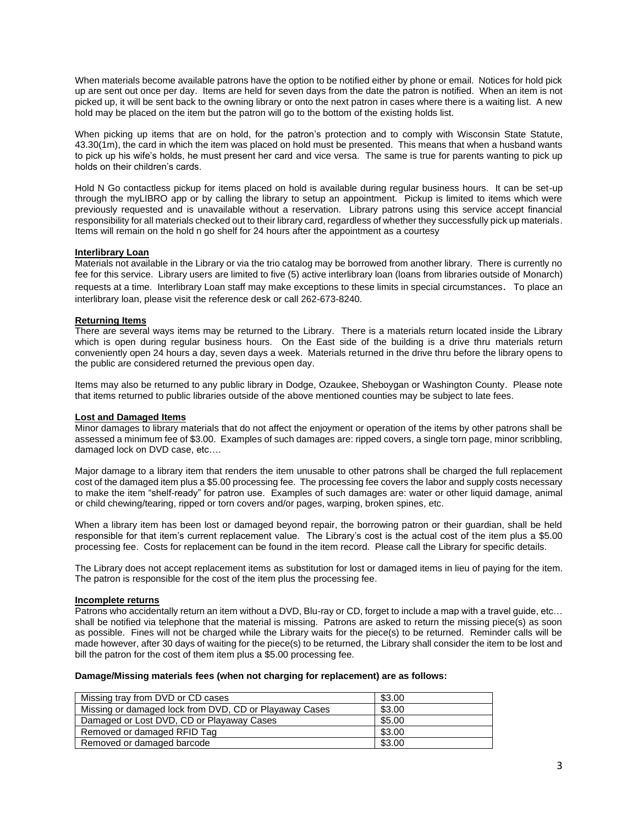When materials become available patrons have the option to be notified either by phone or email. Notices for hold pick up are sent out once per day. Items are held for seven days from the date the patron is notified. When an item is not picked up, it will be sent back to the owning library or onto the next patron in cases where there is a waiting list. A new hold may be placed on the item but the patron will go to the bottom of the existing holds list.

When picking up items that are on hold, for the patron's protection and to comply with Wisconsin State Statute, 43.30(1m), the card in which the item was placed on hold must be presented. This means that when a husband wants to pick up his wife's holds, he must present her card and vice versa. The same is true for parents wanting to pick up holds on their children's cards.

Hold N Go contactless pickup for items placed on hold is available during regular business hours. It can be set-up through the myLIBRO app or by calling the library to setup an appointment. Pickup is limited to items which were previously requested and is unavailable without a reservation. Library patrons using this service accept financial responsibility for all materials checked out to their library card, regardless of whether they successfully pick up materials. Items will remain on the hold n go shelf for 24 hours after the appointment as a courtesy

# **Interlibrary Loan**

Materials not available in the Library or via the trio catalog may be borrowed from another library. There is currently no fee for this service. Library users are limited to five (5) active interlibrary loan (loans from libraries outside of Monarch) requests at a time. Interlibrary Loan staff may make exceptions to these limits in special circumstances. To place an interlibrary loan, please visit the reference desk or call 262-673-8240.

# **Returning Items**

There are several ways items may be returned to the Library. There is a materials return located inside the Library which is open during regular business hours. On the East side of the building is a drive thru materials return conveniently open 24 hours a day, seven days a week. Materials returned in the drive thru before the library opens to the public are considered returned the previous open day.

Items may also be returned to any public library in Dodge, Ozaukee, Sheboygan or Washington County. Please note that items returned to public libraries outside of the above mentioned counties may be subject to late fees.

### **Lost and Damaged Items**

Minor damages to library materials that do not affect the enjoyment or operation of the items by other patrons shall be assessed a minimum fee of \$3.00. Examples of such damages are: ripped covers, a single torn page, minor scribbling, damaged lock on DVD case, etc….

Major damage to a library item that renders the item unusable to other patrons shall be charged the full replacement cost of the damaged item plus a \$5.00 processing fee. The processing fee covers the labor and supply costs necessary to make the item "shelf-ready" for patron use. Examples of such damages are: water or other liquid damage, animal or child chewing/tearing, ripped or torn covers and/or pages, warping, broken spines, etc.

When a library item has been lost or damaged beyond repair, the borrowing patron or their guardian, shall be held responsible for that item's current replacement value. The Library's cost is the actual cost of the item plus a \$5.00 processing fee. Costs for replacement can be found in the item record. Please call the Library for specific details.

The Library does not accept replacement items as substitution for lost or damaged items in lieu of paying for the item. The patron is responsible for the cost of the item plus the processing fee.

### **Incomplete returns**

Patrons who accidentally return an item without a DVD, Blu-ray or CD, forget to include a map with a travel guide, etc… shall be notified via telephone that the material is missing. Patrons are asked to return the missing piece(s) as soon as possible. Fines will not be charged while the Library waits for the piece(s) to be returned. Reminder calls will be made however, after 30 days of waiting for the piece(s) to be returned, the Library shall consider the item to be lost and bill the patron for the cost of them item plus a \$5.00 processing fee.

#### **Damage/Missing materials fees (when not charging for replacement) are as follows:**

| Missing tray from DVD or CD cases                      | \$3.00 |
|--------------------------------------------------------|--------|
| Missing or damaged lock from DVD, CD or Playaway Cases | \$3.00 |
| Damaged or Lost DVD, CD or Playaway Cases              | \$5.00 |
| Removed or damaged RFID Tag                            | \$3.00 |
| Removed or damaged barcode                             | \$3.00 |